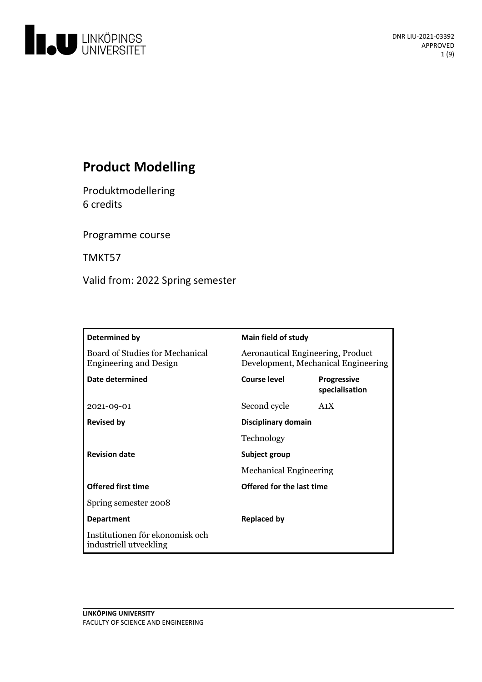

# **Product Modelling**

Produktmodellering 6 credits

Programme course

TMKT57

Valid from: 2022 Spring semester

| Determined by                                                    | <b>Main field of study</b>                                               |                                      |
|------------------------------------------------------------------|--------------------------------------------------------------------------|--------------------------------------|
| Board of Studies for Mechanical<br><b>Engineering and Design</b> | Aeronautical Engineering, Product<br>Development, Mechanical Engineering |                                      |
| Date determined                                                  | <b>Course level</b>                                                      | <b>Progressive</b><br>specialisation |
| 2021-09-01                                                       | Second cycle                                                             | A <sub>1</sub> X                     |
| <b>Revised by</b>                                                | Disciplinary domain                                                      |                                      |
|                                                                  | Technology                                                               |                                      |
| <b>Revision date</b><br>Subject group                            |                                                                          |                                      |
|                                                                  | <b>Mechanical Engineering</b>                                            |                                      |
| <b>Offered first time</b>                                        | Offered for the last time                                                |                                      |
| Spring semester 2008                                             |                                                                          |                                      |
| <b>Department</b>                                                | <b>Replaced by</b>                                                       |                                      |
| Institutionen för ekonomisk och<br>industriell utveckling        |                                                                          |                                      |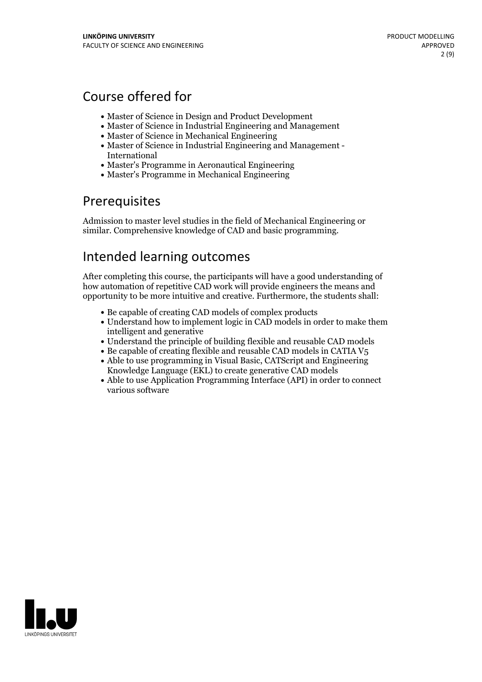## Course offered for

- Master of Science in Design and Product Development
- Master of Science in Industrial Engineering and Management
- Master of Science in Mechanical Engineering
- Master of Science in Industrial Engineering and Management International
- Master's Programme in Aeronautical Engineering
- Master's Programme in Mechanical Engineering

## Prerequisites

Admission to master level studies in the field of Mechanical Engineering or similar. Comprehensive knowledge of CAD and basic programming.

## Intended learning outcomes

After completing this course, the participants will have a good understanding of how automation of repetitive CAD work will provide engineers the means and opportunity to be more intuitive and creative. Furthermore, the students shall:

- Be capable of creating CAD models of complex products
- Understand how to implement logic in CAD models in order to make them intelligent and generative
- Understand the principle of building flexible and reusable CAD models
- $\bullet$  Be capable of creating flexible and reusable CAD models in CATIA V<sub>5</sub>
- Able to use programming in Visual Basic, CATScript and Engineering Knowledge Language (EKL) to create generative CAD models
- Able to use Application Programming Interface (API) in order to connect various software

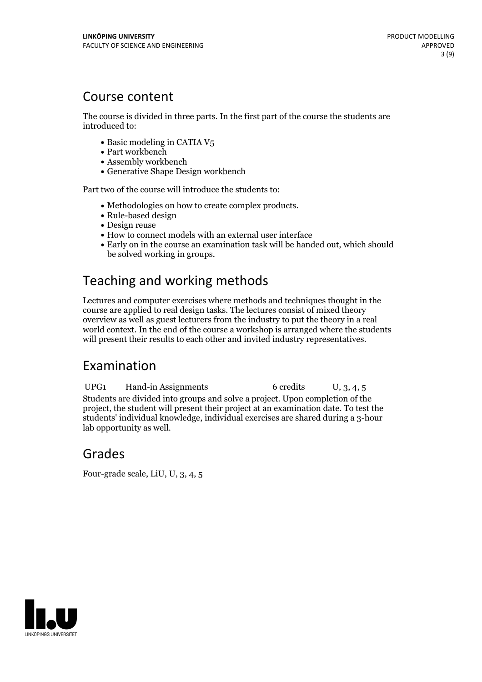## Course content

The course is divided in three parts. In the first part of the course the students are introduced to:

- $\bullet$  Basic modeling in CATIA V<sub>5</sub>
- Part workbench
- Assembly workbench
- Generative Shape Design workbench

Part two of the course will introduce the students to:

- Methodologies on how to create complex products.<br>• Rule-based design
- 
- Design reuse
- How to connect models with an external user interface
- Early on in the course an examination task will be handed out, which should be solved working in groups.

# Teaching and working methods

Lectures and computer exercises where methods and techniques thought in the course are applied to real design tasks. The lectures consist of mixed theory overview as well as guest lecturers from the industry to put the theory in a real world context. In the end of the course a workshop is arranged where the students will present their results to each other and invited industry representatives.

## Examination

UPG1 Hand-in Assignments 6 credits U, 3, 4, 5 Students are divided into groups and solve a project. Upon completion of the project, the student will present their project at an examination date. To test the students' individual knowledge, individual exercises are shared during a 3-hour lab opportunity as well.

## Grades

Four-grade scale, LiU, U, 3, 4, 5

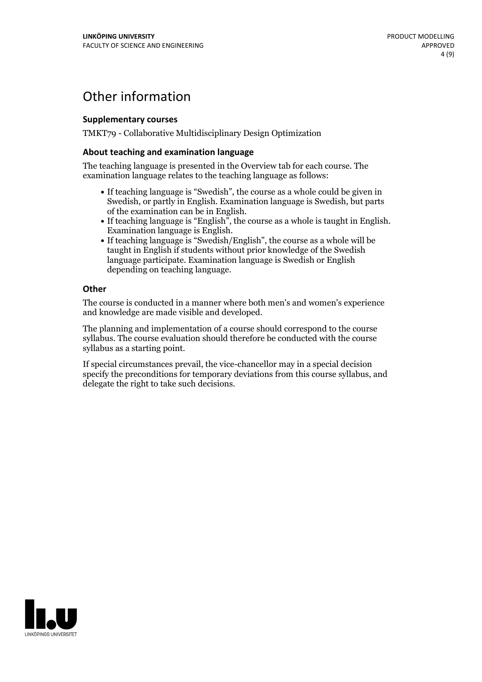## Other information

### **Supplementarycourses**

TMKT79 - Collaborative Multidisciplinary Design Optimization

### **About teaching and examination language**

The teaching language is presented in the Overview tab for each course. The examination language relates to the teaching language as follows:

- If teaching language is "Swedish", the course as a whole could be given in Swedish, or partly in English. Examination language is Swedish, but parts
- of the examination can be in English. If teaching language is "English", the course as <sup>a</sup> whole is taught in English. Examination language is English. If teaching language is "Swedish/English", the course as <sup>a</sup> whole will be
- taught in English if students without prior knowledge of the Swedish language participate. Examination language is Swedish or English depending on teaching language.

### **Other**

The course is conducted in a manner where both men's and women's experience and knowledge are made visible and developed.

The planning and implementation of a course should correspond to the course syllabus. The course evaluation should therefore be conducted with the course syllabus as a starting point.

If special circumstances prevail, the vice-chancellor may in a special decision specify the preconditions for temporary deviations from this course syllabus, and delegate the right to take such decisions.

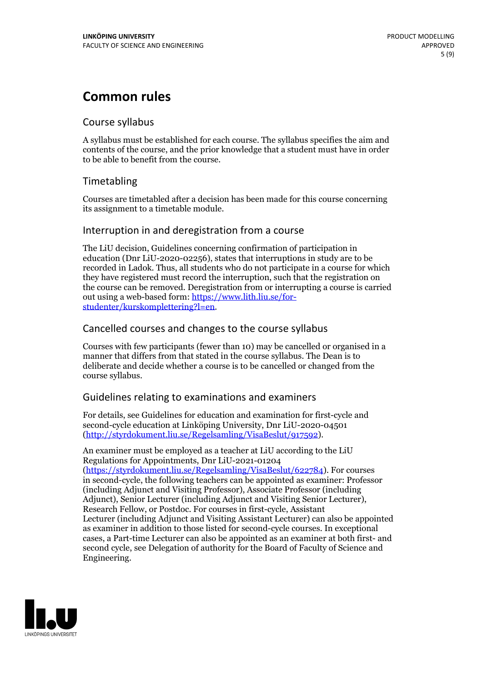## **Common rules**

## Course syllabus

A syllabus must be established for each course. The syllabus specifies the aim and contents of the course, and the prior knowledge that a student must have in order to be able to benefit from the course.

## Timetabling

Courses are timetabled after a decision has been made for this course concerning its assignment to a timetable module.

### Interruption in and deregistration from a course

The LiU decision, Guidelines concerning confirmation of participation in education (Dnr LiU-2020-02256), states that interruptions in study are to be recorded in Ladok. Thus, all students who do not participate in a course for which they have registered must record the interruption, such that the registration on the course can be removed. Deregistration from or interrupting a course is carried out using <sup>a</sup> web-based form: https://www.lith.liu.se/for- [studenter/kurskomplettering?l=en.](https://www.lith.liu.se/for-studenter/kurskomplettering?l=en)

## Cancelled courses and changes to the course syllabus

Courses with few participants (fewer than 10) may be cancelled or organised in a manner that differs from that stated in the course syllabus. The Dean is to deliberate and decide whether a course is to be cancelled or changed from the course syllabus.

## Guidelines relating to examinations and examiners

For details, see Guidelines for education and examination for first-cycle and second-cycle education at Linköping University, Dnr LiU-2020-04501 [\(http://styrdokument.liu.se/Regelsamling/VisaBeslut/917592\)](http://styrdokument.liu.se/Regelsamling/VisaBeslut/917592).

An examiner must be employed as a teacher at LiU according to the LiU Regulations for Appointments, Dnr LiU-2021-01204 [\(https://styrdokument.liu.se/Regelsamling/VisaBeslut/622784](https://styrdokument.liu.se/Regelsamling/VisaBeslut/622784)). For courses in second-cycle, the following teachers can be appointed as examiner: Professor (including Adjunct and Visiting Professor), Associate Professor (including Adjunct), Senior Lecturer (including Adjunct and Visiting Senior Lecturer), Research Fellow, or Postdoc. For courses in first-cycle, Assistant Lecturer (including Adjunct and Visiting Assistant Lecturer) can also be appointed as examiner in addition to those listed for second-cycle courses. In exceptional cases, a Part-time Lecturer can also be appointed as an examiner at both first- and second cycle, see Delegation of authority for the Board of Faculty of Science and Engineering.

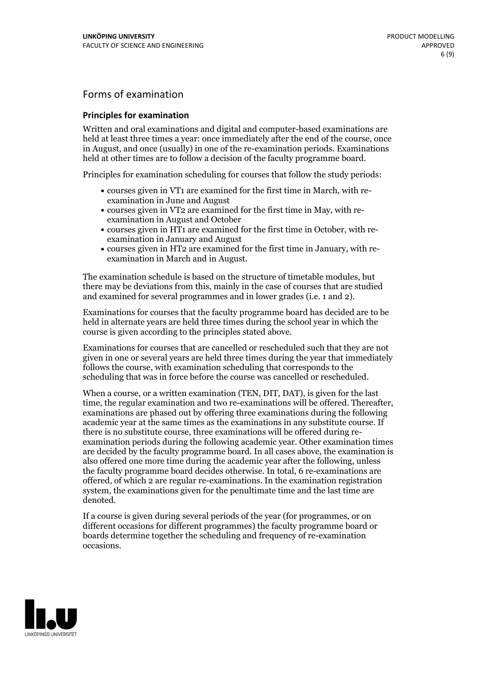## Forms of examination

### **Principles for examination**

Written and oral examinations and digital and computer-based examinations are held at least three times a year: once immediately after the end of the course, once in August, and once (usually) in one of the re-examination periods. Examinations held at other times are to follow a decision of the faculty programme board.

Principles for examination scheduling for courses that follow the study periods:

- courses given in VT1 are examined for the first time in March, with re-examination in June and August
- courses given in VT2 are examined for the first time in May, with re-examination in August and October
- courses given in HT1 are examined for the first time in October, with re-examination in January and August
- courses given in HT2 are examined for the first time in January, with re-examination in March and in August.

The examination schedule is based on the structure of timetable modules, but there may be deviations from this, mainly in the case of courses that are studied and examined for several programmes and in lower grades (i.e. 1 and 2).

Examinations for courses that the faculty programme board has decided are to be held in alternate years are held three times during the school year in which the course is given according to the principles stated above.

Examinations for courses that are cancelled orrescheduled such that they are not given in one or several years are held three times during the year that immediately follows the course, with examination scheduling that corresponds to the scheduling that was in force before the course was cancelled or rescheduled.

When a course, or a written examination (TEN, DIT, DAT), is given for the last time, the regular examination and two re-examinations will be offered. Thereafter, examinations are phased out by offering three examinations during the following academic year at the same times as the examinations in any substitute course. If there is no substitute course, three examinations will be offered during re- examination periods during the following academic year. Other examination times are decided by the faculty programme board. In all cases above, the examination is also offered one more time during the academic year after the following, unless the faculty programme board decides otherwise. In total, 6 re-examinations are offered, of which 2 are regular re-examinations. In the examination registration system, the examinations given for the penultimate time and the last time are denoted.

If a course is given during several periods of the year (for programmes, or on different occasions for different programmes) the faculty programme board or boards determine together the scheduling and frequency of re-examination occasions.

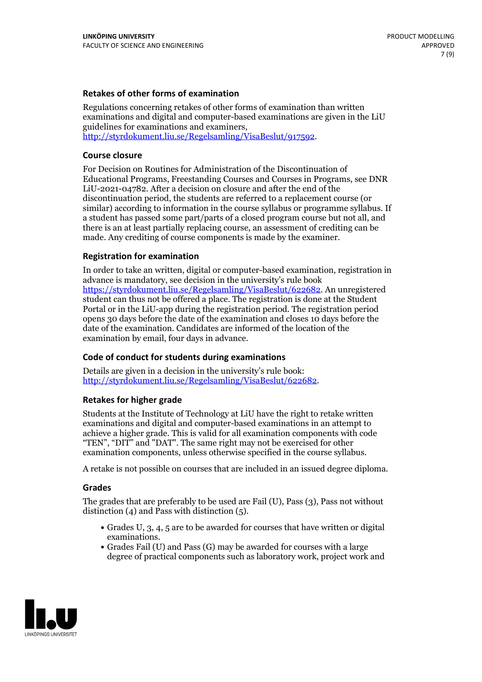### **Retakes of other forms of examination**

Regulations concerning retakes of other forms of examination than written examinations and digital and computer-based examinations are given in the LiU guidelines for examinations and examiners, [http://styrdokument.liu.se/Regelsamling/VisaBeslut/917592.](http://styrdokument.liu.se/Regelsamling/VisaBeslut/917592)

### **Course closure**

For Decision on Routines for Administration of the Discontinuation of Educational Programs, Freestanding Courses and Courses in Programs, see DNR LiU-2021-04782. After a decision on closure and after the end of the discontinuation period, the students are referred to a replacement course (or similar) according to information in the course syllabus or programme syllabus. If a student has passed some part/parts of a closed program course but not all, and there is an at least partially replacing course, an assessment of crediting can be made. Any crediting of course components is made by the examiner.

#### **Registration for examination**

In order to take an written, digital or computer-based examination, registration in advance is mandatory, see decision in the university's rule book [https://styrdokument.liu.se/Regelsamling/VisaBeslut/622682.](https://styrdokument.liu.se/Regelsamling/VisaBeslut/622682) An unregistered student can thus not be offered a place. The registration is done at the Student Portal or in the LiU-app during the registration period. The registration period opens 30 days before the date of the examination and closes 10 days before the date of the examination. Candidates are informed of the location of the examination by email, four days in advance.

### **Code of conduct for students during examinations**

Details are given in a decision in the university's rule book: <http://styrdokument.liu.se/Regelsamling/VisaBeslut/622682>.

#### **Retakes for higher grade**

Students at the Institute of Technology at LiU have the right to retake written examinations and digital and computer-based examinations in an attempt to achieve a higher grade. This is valid for all examination components with code "TEN", "DIT" and "DAT". The same right may not be exercised for other examination components, unless otherwise specified in the course syllabus.

A retake is not possible on courses that are included in an issued degree diploma.

#### **Grades**

The grades that are preferably to be used are Fail (U), Pass (3), Pass not without distinction  $(4)$  and Pass with distinction  $(5)$ .

- Grades U, 3, 4, 5 are to be awarded for courses that have written or digital examinations.<br>• Grades Fail (U) and Pass (G) may be awarded for courses with a large
- degree of practical components such as laboratory work, project work and

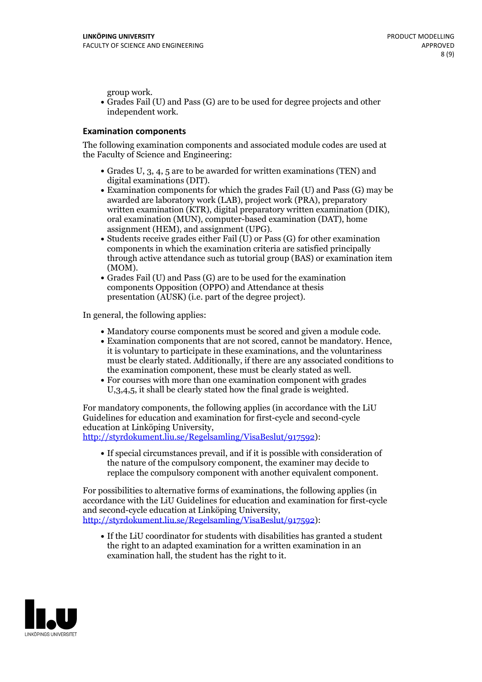group work.<br>• Grades Fail (U) and Pass (G) are to be used for degree projects and other independent work.

### **Examination components**

The following examination components and associated module codes are used at the Faculty of Science and Engineering:

- Grades U, 3, 4, 5 are to be awarded for written examinations (TEN) and
- digital examinations (DIT).<br>• Examination components for which the grades Fail (U) and Pass (G) may be awarded are laboratory work (LAB), project work (PRA), preparatory written examination (KTR), digital preparatory written examination (DIK), oral examination (MUN), computer-based examination (DAT), home
- assignment (HEM), and assignment (UPG).<br>• Students receive grades either Fail (U) or Pass (G) for other examination components in which the examination criteria are satisfied principally through active attendance such as tutorial group (BAS) or examination item
- (MOM).<br>• Grades Fail (U) and Pass (G) are to be used for the examination components Opposition (OPPO) and Attendance at thesis presentation (AUSK) (i.e. part of the degree project).

In general, the following applies:

- 
- Mandatory course components must be scored and given <sup>a</sup> module code. Examination components that are not scored, cannot be mandatory. Hence, it is voluntary to participate in these examinations, and the voluntariness must be clearly stated. Additionally, if there are any associated conditions to
- the examination component, these must be clearly stated as well.<br>• For courses with more than one examination component with grades U,3,4,5, it shall be clearly stated how the final grade is weighted.

For mandatory components, the following applies (in accordance with the LiU Guidelines for education and examination for first-cycle and second-cycle education at Linköping University,<br>[http://styrdokument.liu.se/Regelsamling/VisaBeslut/917592\)](http://styrdokument.liu.se/Regelsamling/VisaBeslut/917592):

If special circumstances prevail, and if it is possible with consideration of the nature of the compulsory component, the examiner may decide to replace the compulsory component with another equivalent component.

For possibilities to alternative forms of examinations, the following applies (in accordance with the LiU Guidelines for education and examination for first-cycle [http://styrdokument.liu.se/Regelsamling/VisaBeslut/917592\)](http://styrdokument.liu.se/Regelsamling/VisaBeslut/917592):

If the LiU coordinator for students with disabilities has granted a student the right to an adapted examination for a written examination in an examination hall, the student has the right to it.